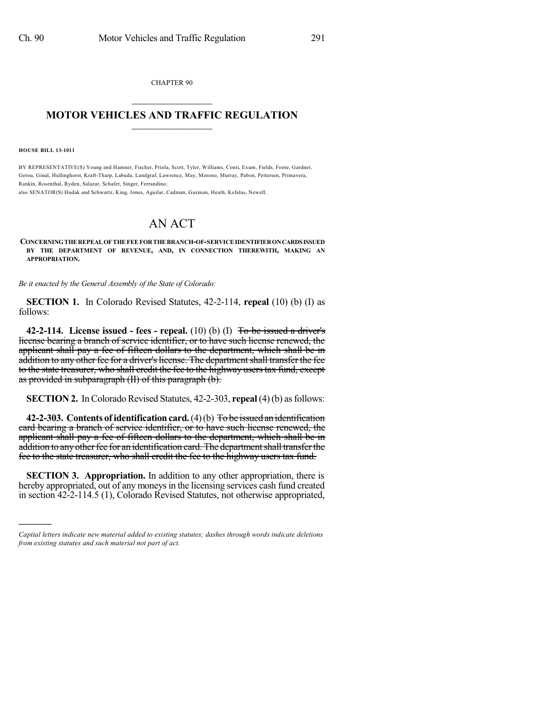CHAPTER 90  $\mathcal{L}_\text{max}$  . The set of the set of the set of the set of the set of the set of the set of the set of the set of the set of the set of the set of the set of the set of the set of the set of the set of the set of the set

## **MOTOR VEHICLES AND TRAFFIC REGULATION**  $\frac{1}{2}$  ,  $\frac{1}{2}$  ,  $\frac{1}{2}$  ,  $\frac{1}{2}$  ,  $\frac{1}{2}$  ,  $\frac{1}{2}$  ,  $\frac{1}{2}$

**HOUSE BILL 13-1011**

)))))

BY REPRESENTATIVE(S) Young and Hamner, Fischer, Priola, Scott, Tyler, Williams, Conti, Exum, Fields, Foote, Gardner, Gerou, Ginal, Hullinghorst, Kraft-Tharp, Labuda, Landgraf, Lawrence, May, Moreno, Murray, Pabon, Pettersen, Primavera, Rankin, Rosenthal, Ryden, Salazar, Schafer, Singer, Ferrandino;

also SENATOR(S) Hudak and Schwartz, King, Jones, Aguilar, Cadman, Guzman, Heath, Kefalas, Newell.

## AN ACT

**CONCERNINGTHE REPEAL OF THE FEE FORTHE BRANCH-OF-SERVICE IDENTIFIERONCARDSISSUED BY THE DEPARTMENT OF REVENUE, AND, IN CONNECTION THEREWITH, MAKING AN APPROPRIATION.**

*Be it enacted by the General Assembly of the State of Colorado:*

**SECTION 1.** In Colorado Revised Statutes, 42-2-114, **repeal** (10) (b) (I) as follows:

**42-2-114. License issued - fees - repeal.** (10) (b) (I) To be issued a driver's license bearing a branch of service identifier, or to have such license renewed, the applicant shall pay a fee of fifteen dollars to the department, which shall be in addition to any other fee for a driver's license. The department shall transfer the fee to the state treasurer, who shall credit the fee to the highway users tax fund, except as provided in subparagraph (II) of this paragraph (b).

**SECTION 2.** In Colorado Revised Statutes, 42-2-303, **repeal** (4)(b) as follows:

**42-2-303.** Contents of identification card. (4)(b) To be issued an identification card bearing a branch of service identifier, or to have such license renewed, the applicant shall pay a fee of fifteen dollars to the department, which shall be in addition to any other fee for an identification card. The department shall transfer the fee to the state treasurer, who shall credit the fee to the highway users tax fund.

**SECTION 3. Appropriation.** In addition to any other appropriation, there is hereby appropriated, out of any moneys in the licensing services cash fund created in section 42-2-114.5 (1), Colorado Revised Statutes, not otherwise appropriated,

*Capital letters indicate new material added to existing statutes; dashes through words indicate deletions from existing statutes and such material not part of act.*